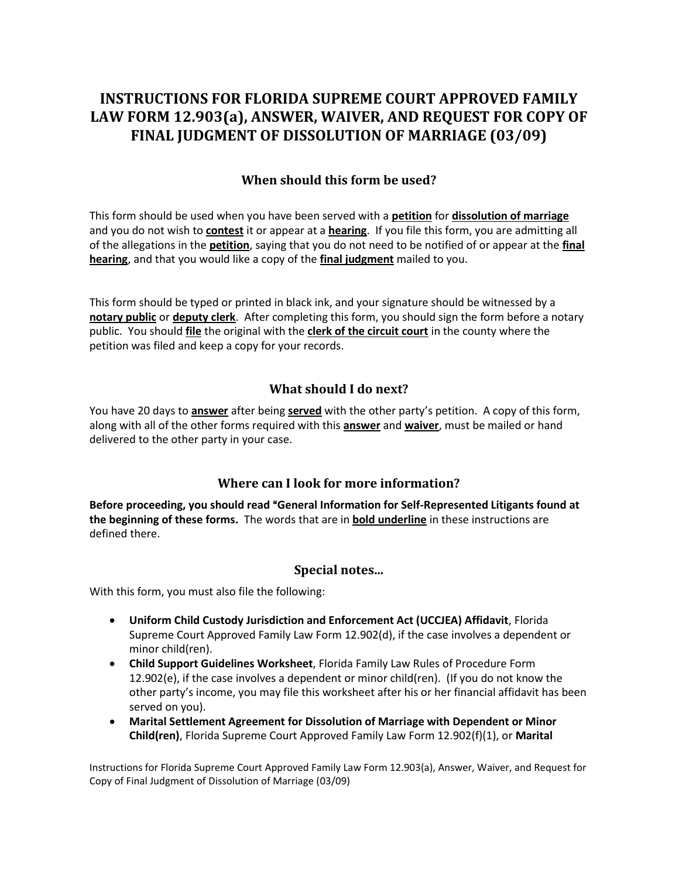## **INSTRUCTIONS FOR FLORIDA SUPREME COURT APPROVED FAMILY LAW FORM 12.903(a), ANSWER, WAIVER, AND REQUEST FOR COPY OF FINAL JUDGMENT OF DISSOLUTION OF MARRIAGE (03/09)**

### **When should this form be used?**

This form should be used when you have been served with a **petition** for **dissolution of marriage** and you do not wish to **contest** it or appear at a **hearing**. If you file this form, you are admitting all of the allegations in the **petition**, saying that you do not need to be notified of or appear at the **final hearing**, and that you would like a copy of the **final judgment** mailed to you.

This form should be typed or printed in black ink, and your signature should be witnessed by a **notary public** or **deputy clerk**. After completing this form, you should sign the form before a notary public. You should **file** the original with the **clerk of the circuit court** in the county where the petition was filed and keep a copy for your records.

### **What should I do next?**

You have 20 days to **answer** after being **served** with the other party's petition. A copy of this form, along with all of the other forms required with this **answer** and **waiver**, must be mailed or hand delivered to the other party in your case.

#### **Where can I look for more information?**

Before proceeding, you should read "General Information for Self-Represented Litigants found at **the beginning of these forms.** The words that are in **bold underline** in these instructions are defined there.

#### **Special notes...**

With this form, you must also file the following:

- **Uniform Child Custody Jurisdiction and Enforcement Act (UCCJEA) Affidavit**, Florida Supreme Court Approved Family Law Form 12.902(d), if the case involves a dependent or minor child(ren).
- **Child Support Guidelines Worksheet**, Florida Family Law Rules of Procedure Form 12.902(e), if the case involves a dependent or minor child(ren). (If you do not know the other party's income, you may file this worksheet after his or her financial affidavit has been served on you).
- **Marital Settlement Agreement for Dissolution of Marriage with Dependent or Minor Child(ren)**, Florida Supreme Court Approved Family Law Form 12.902(f)(1), or **Marital**

Instructions for Florida Supreme Court Approved Family Law Form 12.903(a), Answer, Waiver, and Request for Copy of Final Judgment of Dissolution of Marriage (03/09)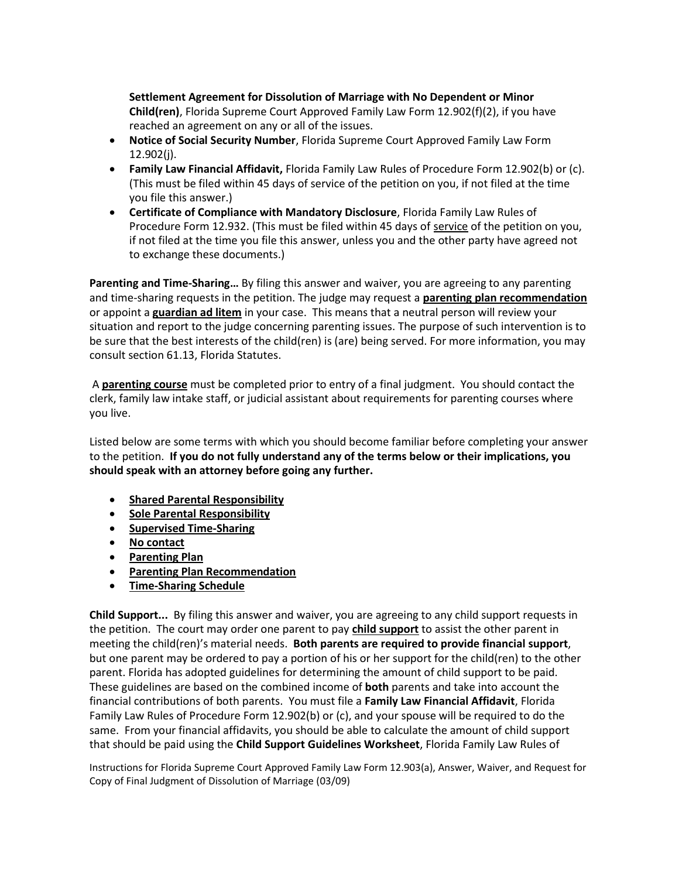**Settlement Agreement for Dissolution of Marriage with No Dependent or Minor Child(ren)**, Florida Supreme Court Approved Family Law Form 12.902(f)(2), if you have reached an agreement on any or all of the issues.

- **Notice of Social Security Number**, Florida Supreme Court Approved Family Law Form 12.902(j).
- **Family Law Financial Affidavit,** Florida Family Law Rules of Procedure Form 12.902(b) or (c). (This must be filed within 45 days of service of the petition on you, if not filed at the time you file this answer.)
- **Certificate of Compliance with Mandatory Disclosure**, Florida Family Law Rules of Procedure Form 12.932. (This must be filed within 45 days of service of the petition on you, if not filed at the time you file this answer, unless you and the other party have agreed not to exchange these documents.)

**Parenting and Time-Sharing…** By filing this answer and waiver, you are agreeing to any parenting and time-sharing requests in the petition. The judge may request a **parenting plan recommendation** or appoint a **guardian ad litem** in your case. This means that a neutral person will review your situation and report to the judge concerning parenting issues. The purpose of such intervention is to be sure that the best interests of the child(ren) is (are) being served. For more information, you may consult section 61.13, Florida Statutes.

A **parenting course** must be completed prior to entry of a final judgment. You should contact the clerk, family law intake staff, or judicial assistant about requirements for parenting courses where you live.

Listed below are some terms with which you should become familiar before completing your answer to the petition. **If you do not fully understand any of the terms below or their implications, you should speak with an attorney before going any further.**

- **Shared Parental Responsibility**
- **•** Sole Parental Responsibility
- **•** Supervised Time-Sharing
- **No contact**
- **Parenting Plan**
- **Parenting Plan Recommendation**
- **Time-Sharing Schedule**

**Child Support...** By filing this answer and waiver, you are agreeing to any child support requests in the petition. The court may order one parent to pay **child support** to assist the other parent in meeting the child(ren)'s material needs. **Both parents are required to provide financial support**, but one parent may be ordered to pay a portion of his or her support for the child(ren) to the other parent. Florida has adopted guidelines for determining the amount of child support to be paid. These guidelines are based on the combined income of **both** parents and take into account the financial contributions of both parents. You must file a **Family Law Financial Affidavit**, Florida Family Law Rules of Procedure Form 12.902(b) or (c), and your spouse will be required to do the same. From your financial affidavits, you should be able to calculate the amount of child support that should be paid using the **Child Support Guidelines Worksheet**, Florida Family Law Rules of

Instructions for Florida Supreme Court Approved Family Law Form 12.903(a), Answer, Waiver, and Request for Copy of Final Judgment of Dissolution of Marriage (03/09)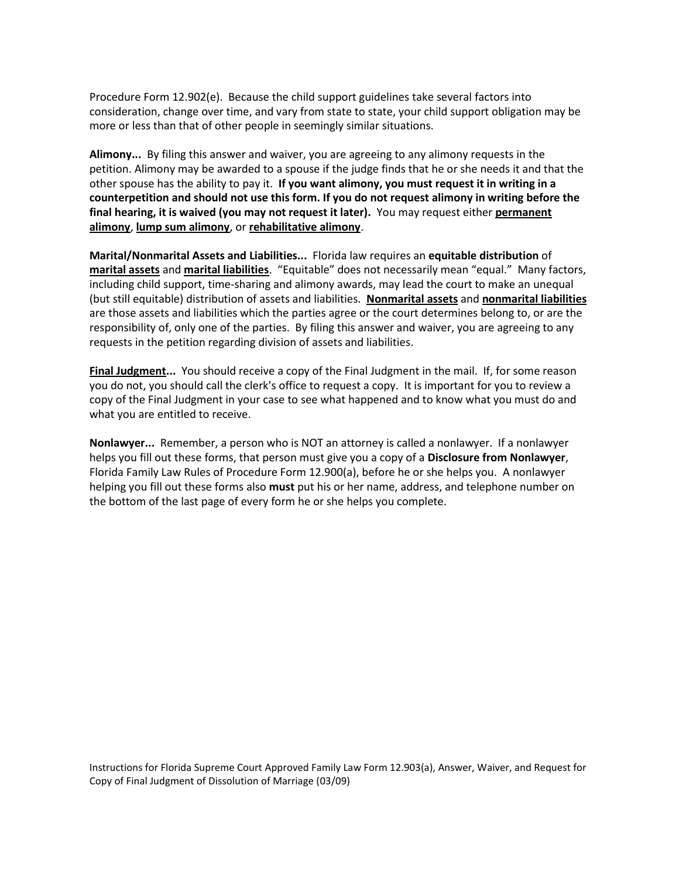Procedure Form 12.902(e). Because the child support guidelines take several factors into consideration, change over time, and vary from state to state, your child support obligation may be more or less than that of other people in seemingly similar situations.

**Alimony...** By filing this answer and waiver, you are agreeing to any alimony requests in the petition. Alimony may be awarded to a spouse if the judge finds that he or she needs it and that the other spouse has the ability to pay it. **If you want alimony, you must request it in writing in a counterpetition and should not use this form. If you do not request alimony in writing before the final hearing, it is waived (you may not request it later).** You may request either **permanent alimony**, **lump sum alimony**, or **rehabilitative alimony**.

**Marital/Nonmarital Assets and Liabilities...** Florida law requires an **equitable distribution** of **marital assets** and **marital liabilities**. "Equitable" does not necessarily mean "equal." Many factors, including child support, time-sharing and alimony awards, may lead the court to make an unequal (but still equitable) distribution of assets and liabilities. **Nonmarital assets** and **nonmarital liabilities** are those assets and liabilities which the parties agree or the court determines belong to, or are the responsibility of, only one of the parties. By filing this answer and waiver, you are agreeing to any requests in the petition regarding division of assets and liabilities.

**Final Judgment...** You should receive a copy of the Final Judgment in the mail. If, for some reason you do not, you should call the clerk's office to request a copy. It is important for you to review a copy of the Final Judgment in your case to see what happened and to know what you must do and what you are entitled to receive.

**Nonlawyer...** Remember, a person who is NOT an attorney is called a nonlawyer. If a nonlawyer helps you fill out these forms, that person must give you a copy of a **Disclosure from Nonlawyer**, Florida Family Law Rules of Procedure Form 12.900(a), before he or she helps you. A nonlawyer helping you fill out these forms also **must** put his or her name, address, and telephone number on the bottom of the last page of every form he or she helps you complete.

Instructions for Florida Supreme Court Approved Family Law Form 12.903(a), Answer, Waiver, and Request for Copy of Final Judgment of Dissolution of Marriage (03/09)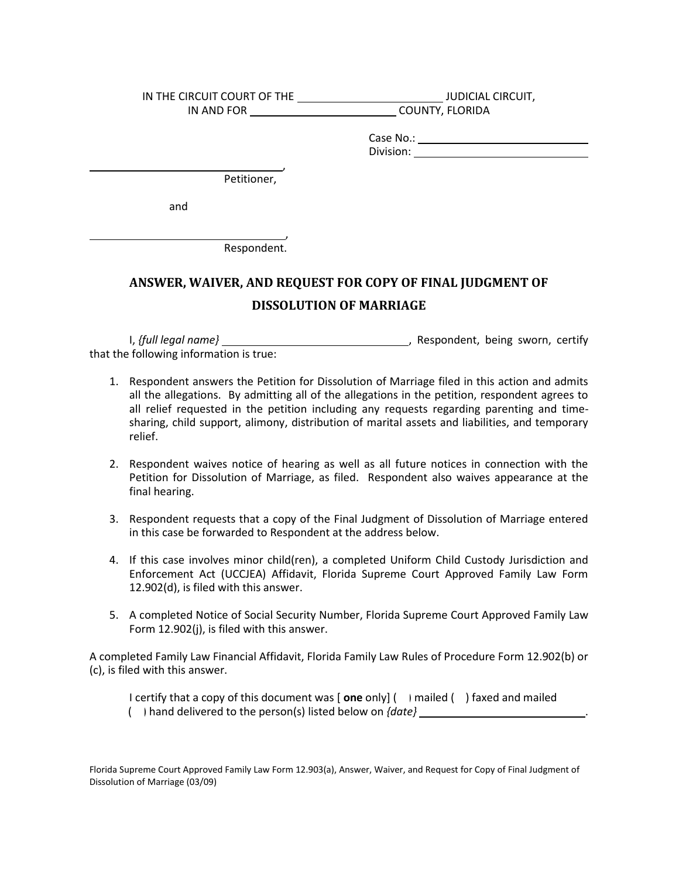| IN THE CIRCUIT COURT OF THE | <b>JUDICIAL CIRCUIT,</b> |
|-----------------------------|--------------------------|
| IN AND FOR                  | <b>COUNTY, FLORIDA</b>   |
|                             | Case No.:                |
|                             | Division:                |
|                             |                          |
| Petitioner,                 |                          |
|                             |                          |

and

 , Respondent.

# **ANSWER, WAIVER, AND REQUEST FOR COPY OF FINAL JUDGMENT OF DISSOLUTION OF MARRIAGE**

I, *{full legal name}* , Respondent, being sworn, certify that the following information is true:

- 1. Respondent answers the Petition for Dissolution of Marriage filed in this action and admits all the allegations. By admitting all of the allegations in the petition, respondent agrees to all relief requested in the petition including any requests regarding parenting and timesharing, child support, alimony, distribution of marital assets and liabilities, and temporary relief.
- 2. Respondent waives notice of hearing as well as all future notices in connection with the Petition for Dissolution of Marriage, as filed. Respondent also waives appearance at the final hearing.
- 3. Respondent requests that a copy of the Final Judgment of Dissolution of Marriage entered in this case be forwarded to Respondent at the address below.
- 4. If this case involves minor child(ren), a completed Uniform Child Custody Jurisdiction and Enforcement Act (UCCJEA) Affidavit, Florida Supreme Court Approved Family Law Form 12.902(d), is filed with this answer.
- 5. A completed Notice of Social Security Number, Florida Supreme Court Approved Family Law Form 12.902(j), is filed with this answer.

A completed Family Law Financial Affidavit, Florida Family Law Rules of Procedure Form 12.902(b) or (c), is filed with this answer.

I certify that a copy of this document was [ **one** only] ( ) mailed ( ) faxed and mailed ( ) hand delivered to the person(s) listed below on *{date}* .

Florida Supreme Court Approved Family Law Form 12.903(a), Answer, Waiver, and Request for Copy of Final Judgment of Dissolution of Marriage (03/09)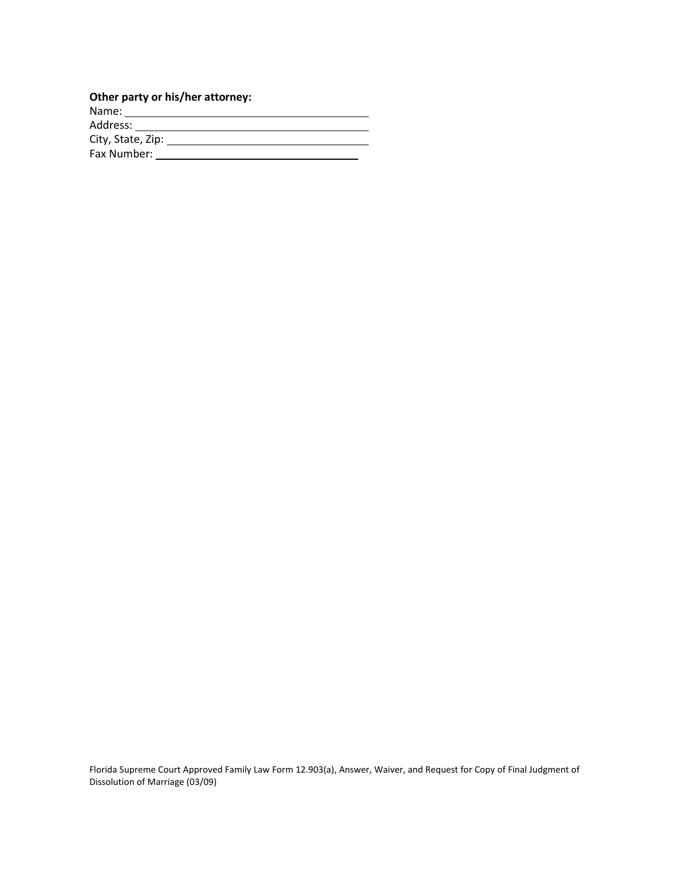| Other party or his/her attorney: |  |  |
|----------------------------------|--|--|
| Name:                            |  |  |
| Address:                         |  |  |
| City, State, Zip:                |  |  |
| Fax Number:                      |  |  |

Florida Supreme Court Approved Family Law Form 12.903(a), Answer, Waiver, and Request for Copy of Final Judgment of Dissolution of Marriage (03/09)